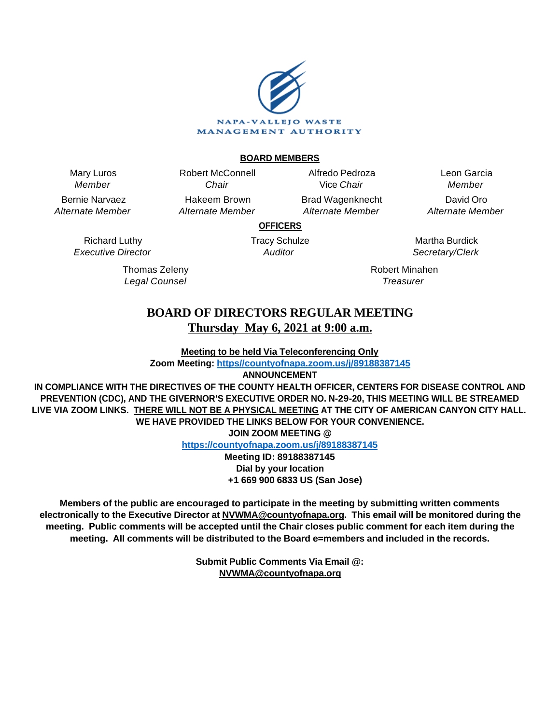

# **BOARD MEMBERS**

Mary Luros Member

Bernie Narvaez Alternate Member

> Richard Luthy Executive Director

> > Thomas Zeleny Legal Counsel

Chair Hakeem Brown Alternate Member

Robert McConnell

Alfredo Pedroza Vice Chair Brad Wagenknecht

Alternate Member

Leon Garcia Member David Oro Alternate Member

**OFFICERS**

Tracy Schulze Auditor

Martha Burdick Secretary/Clerk

Robert Minahen **Treasurer** 

# **BOARD OF DIRECTORS REGULAR MEETING Thursday May 6, 2021 at 9:00 a.m.**

**Meeting to be held Via Teleconferencing Only**

**Zoom Meeting: [https//countyofnapa.zoom.us/j/89188387145](http://intranetprod01/AgendaNet/Reports/https//countyofnapa.zoom.us/j/99111938225)**

**ANNOUNCEMENT**

**IN COMPLIANCE WITH THE DIRECTIVES OF THE COUNTY HEALTH OFFICER, CENTERS FOR DISEASE CONTROL AND PREVENTION (CDC), AND THE GIVERNOR'S EXECUTIVE ORDER NO. N-29-20, THIS MEETING WILL BE STREAMED LIVE VIA ZOOM LINKS. THERE WILL NOT BE A PHYSICAL MEETING AT THE CITY OF AMERICAN CANYON CITY HALL. WE HAVE PROVIDED THE LINKS BELOW FOR YOUR CONVENIENCE.**

**JOIN ZOOM MEETING @**

**<https://countyofnapa.zoom.us/j/89188387145>**

**Meeting ID: 89188387145 Dial by your location +1 669 900 6833 US (San Jose)**

**Members of the public are encouraged to participate in the meeting by submitting written comments electronically to the Executive Director at NVWMA@countyofnapa.org. This email will be monitored during the meeting. Public comments will be accepted until the Chair closes public comment for each item during the meeting. All comments will be distributed to the Board e=members and included in the records.**

> **Submit Public Comments Via Email @: NVWMA@countyofnapa.org**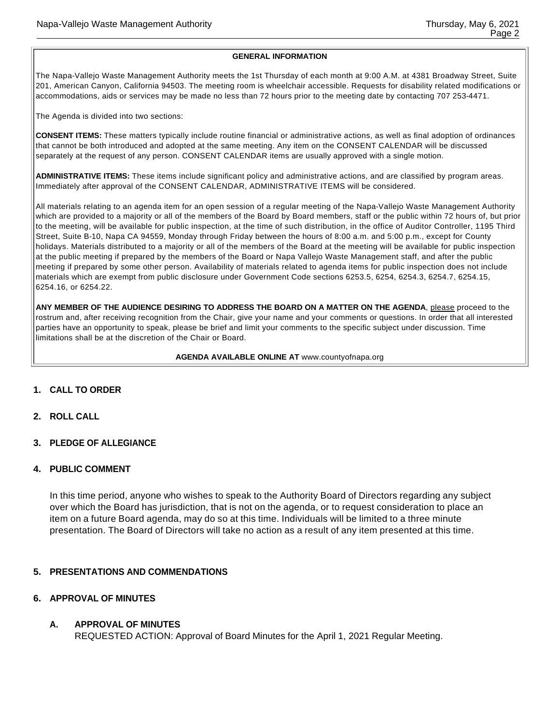#### **GENERAL INFORMATION**

The Napa-Vallejo Waste Management Authority meets the 1st Thursday of each month at 9:00 A.M. at 4381 Broadway Street, Suite 201, American Canyon, California 94503. The meeting room is wheelchair accessible. Requests for disability related modifications or accommodations, aids or services may be made no less than 72 hours prior to the meeting date by contacting 707 253-4471.

The Agenda is divided into two sections:

**CONSENT ITEMS:** These matters typically include routine financial or administrative actions, as well as final adoption of ordinances that cannot be both introduced and adopted at the same meeting. Any item on the CONSENT CALENDAR will be discussed separately at the request of any person. CONSENT CALENDAR items are usually approved with a single motion.

**ADMINISTRATIVE ITEMS:** These items include significant policy and administrative actions, and are classified by program areas. Immediately after approval of the CONSENT CALENDAR, ADMINISTRATIVE ITEMS will be considered.

All materials relating to an agenda item for an open session of a regular meeting of the Napa-Vallejo Waste Management Authority which are provided to a majority or all of the members of the Board by Board members, staff or the public within 72 hours of, but prior to the meeting, will be available for public inspection, at the time of such distribution, in the office of Auditor Controller, 1195 Third Street, Suite B-10, Napa CA 94559, Monday through Friday between the hours of 8:00 a.m. and 5:00 p.m., except for County holidays. Materials distributed to a majority or all of the members of the Board at the meeting will be available for public inspection at the public meeting if prepared by the members of the Board or Napa Vallejo Waste Management staff, and after the public meeting if prepared by some other person. Availability of materials related to agenda items for public inspection does not include materials which are exempt from public disclosure under Government Code sections 6253.5, 6254, 6254.3, 6254.7, 6254.15, 6254.16, or 6254.22.

**ANY MEMBER OF THE AUDIENCE DESIRING TO ADDRESS THE BOARD ON A MATTER ON THE AGENDA**, please proceed to the rostrum and, after receiving recognition from the Chair, give your name and your comments or questions. In order that all interested parties have an opportunity to speak, please be brief and limit your comments to the specific subject under discussion. Time limitations shall be at the discretion of the Chair or Board.

#### **AGENDA AVAILABLE ONLINE AT** www.countyofnapa.org

- **1. CALL TO ORDER**
- **2. ROLL CALL**
- **3. PLEDGE OF ALLEGIANCE**
- **4. PUBLIC COMMENT**

In this time period, anyone who wishes to speak to the Authority Board of Directors regarding any subject over which the Board has jurisdiction, that is not on the agenda, or to request consideration to place an item on a future Board agenda, may do so at this time. Individuals will be limited to a three minute presentation. The Board of Directors will take no action as a result of any item presented at this time.

#### **5. PRESENTATIONS AND COMMENDATIONS**

### **6. APPROVAL OF MINUTES**

# **A. APPROVAL OF MINUTES**

REQUESTED ACTION: Approval of Board Minutes for the April 1, 2021 Regular Meeting.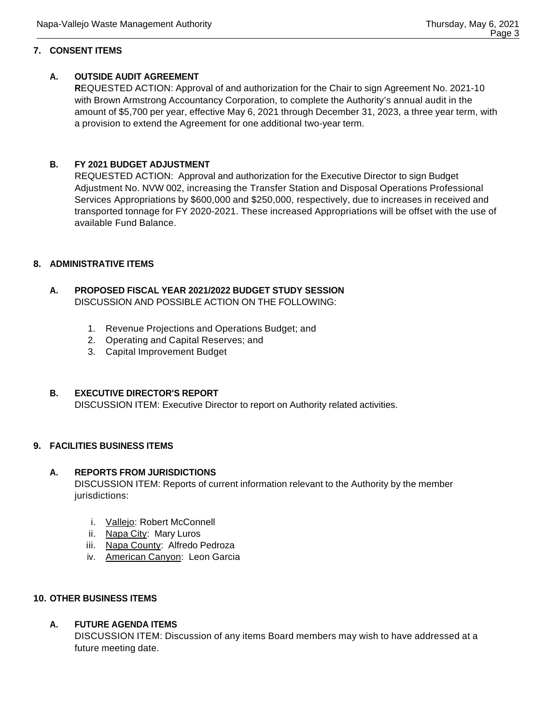# **7. CONSENT ITEMS**

# **A. OUTSIDE AUDIT AGREEMENT**

**R**EQUESTED ACTION: Approval of and authorization for the Chair to sign Agreement No. 2021-10 with Brown Armstrong Accountancy Corporation, to complete the Authority's annual audit in the amount of \$5,700 per year, effective May 6, 2021 through December 31, 2023, a three year term, with a provision to extend the Agreement for one additional two-year term.

# **B. FY 2021 BUDGET ADJUSTMENT**

REQUESTED ACTION: Approval and authorization for the Executive Director to sign Budget Adjustment No. NVW 002, increasing the Transfer Station and Disposal Operations Professional Services Appropriations by \$600,000 and \$250,000, respectively, due to increases in received and transported tonnage for FY 2020-2021. These increased Appropriations will be offset with the use of available Fund Balance.

## **8. ADMINISTRATIVE ITEMS**

# **A. PROPOSED FISCAL YEAR 2021/2022 BUDGET STUDY SESSION** DISCUSSION AND POSSIBLE ACTION ON THE FOLLOWING:

- 1. Revenue Projections and Operations Budget; and
- 2. Operating and Capital Reserves; and
- 3. Capital Improvement Budget

# **B. EXECUTIVE DIRECTOR'S REPORT**

DISCUSSION ITEM: Executive Director to report on Authority related activities.

# **9. FACILITIES BUSINESS ITEMS**

### **A. REPORTS FROM JURISDICTIONS**

DISCUSSION ITEM: Reports of current information relevant to the Authority by the member jurisdictions:

- i. Vallejo: Robert McConnell
- ii. Napa City: Mary Luros
- iii. Napa County: Alfredo Pedroza
- iv. American Canyon: Leon Garcia

# **10. OTHER BUSINESS ITEMS**

# **A. FUTURE AGENDA ITEMS**

DISCUSSION ITEM: Discussion of any items Board members may wish to have addressed at a future meeting date.